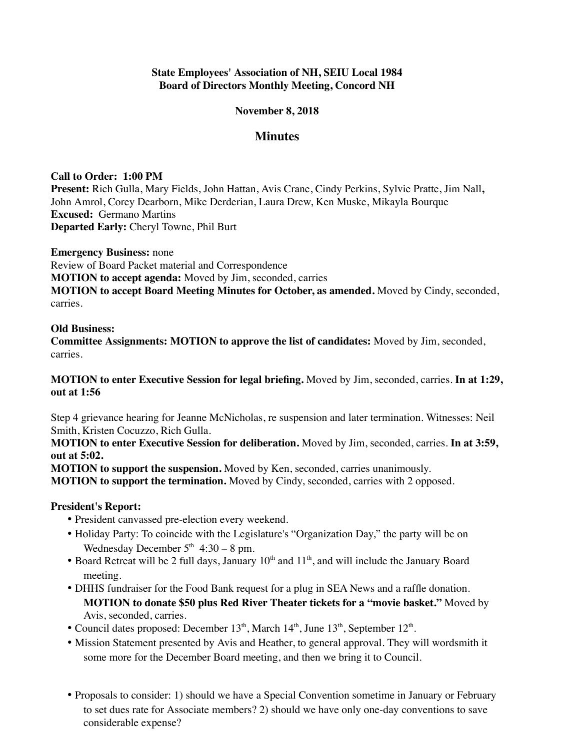## **State Employees' Association of NH, SEIU Local 1984 Board of Directors Monthly Meeting, Concord NH**

#### **November 8, 2018**

# **Minutes**

#### **Call to Order: 1:00 PM**

**Present:** Rich Gulla, Mary Fields, John Hattan, Avis Crane, Cindy Perkins, Sylvie Pratte, Jim Nall**,** John Amrol, Corey Dearborn, Mike Derderian, Laura Drew, Ken Muske, Mikayla Bourque **Excused:** Germano Martins **Departed Early:** Cheryl Towne, Phil Burt

**Emergency Business:** none

Review of Board Packet material and Correspondence

**MOTION to accept agenda:** Moved by Jim, seconded, carries

**MOTION to accept Board Meeting Minutes for October, as amended.** Moved by Cindy, seconded, carries.

#### **Old Business:**

**Committee Assignments: MOTION to approve the list of candidates:** Moved by Jim, seconded, carries.

**MOTION to enter Executive Session for legal briefing.** Moved by Jim, seconded, carries. **In at 1:29, out at 1:56**

Step 4 grievance hearing for Jeanne McNicholas, re suspension and later termination. Witnesses: Neil Smith, Kristen Cocuzzo, Rich Gulla.

**MOTION to enter Executive Session for deliberation.** Moved by Jim, seconded, carries. **In at 3:59, out at 5:02.**

**MOTION to support the suspension.** Moved by Ken, seconded, carries unanimously.

**MOTION to support the termination.** Moved by Cindy, seconded, carries with 2 opposed.

## **President's Report:**

- President canvassed pre-election every weekend.
- Holiday Party: To coincide with the Legislature's "Organization Day," the party will be on Wednesday December  $5<sup>th</sup>$  4:30 – 8 pm.
- Board Retreat will be 2 full days, January  $10<sup>th</sup>$  and  $11<sup>th</sup>$ , and will include the January Board meeting.
- DHHS fundraiser for the Food Bank request for a plug in SEA News and a raffle donation. **MOTION to donate \$50 plus Red River Theater tickets for a "movie basket."** Moved by Avis, seconded, carries.
- Council dates proposed: December  $13<sup>th</sup>$ , March  $14<sup>th</sup>$ , June  $13<sup>th</sup>$ , September  $12<sup>th</sup>$ .
- Mission Statement presented by Avis and Heather, to general approval. They will wordsmith it some more for the December Board meeting, and then we bring it to Council.
- Proposals to consider: 1) should we have a Special Convention sometime in January or February to set dues rate for Associate members? 2) should we have only one-day conventions to save considerable expense?